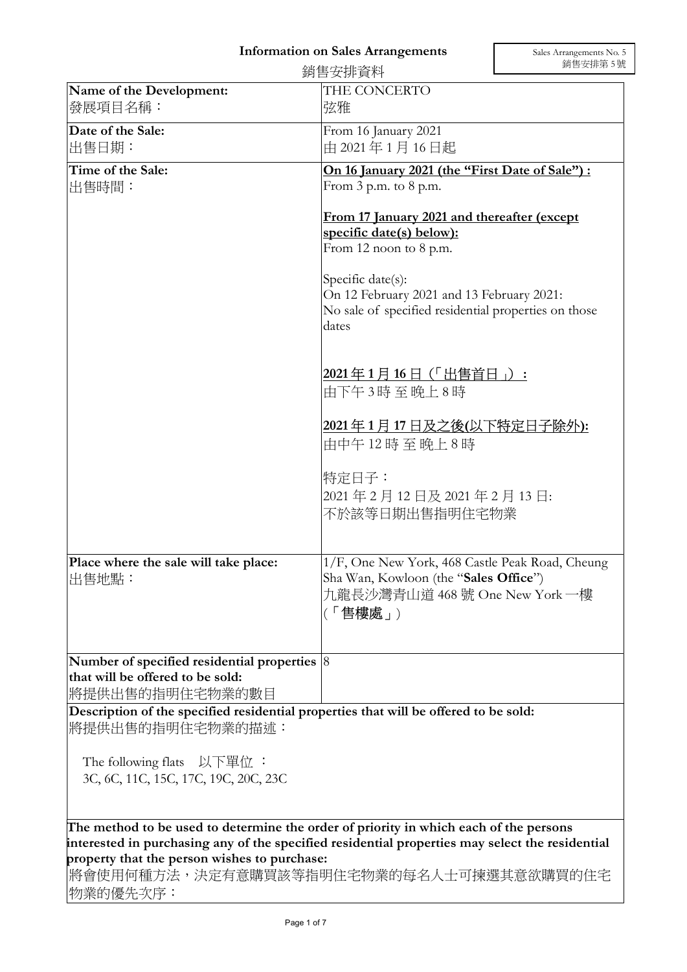## Information on Sales Arrangements

|                                                                                                                                                                                                                                                                                                 | 銷售安排資料                                                                                                                                                                            | 銷售安排第5號 |
|-------------------------------------------------------------------------------------------------------------------------------------------------------------------------------------------------------------------------------------------------------------------------------------------------|-----------------------------------------------------------------------------------------------------------------------------------------------------------------------------------|---------|
| Name of the Development:<br>發展項目名稱:                                                                                                                                                                                                                                                             | THE CONCERTO<br>弦雅                                                                                                                                                                |         |
| Date of the Sale:<br> 出售日期:                                                                                                                                                                                                                                                                     | From 16 January 2021<br>由 2021年1月16日起                                                                                                                                             |         |
| Time of the Sale:<br>出售時間:                                                                                                                                                                                                                                                                      | On 16 January 2021 (the "First Date of Sale") :<br>From $3$ p.m. to $8$ p.m.<br>From 17 January 2021 and thereafter (except<br>specific date(s) below):<br>From 12 noon to 8 p.m. |         |
|                                                                                                                                                                                                                                                                                                 |                                                                                                                                                                                   |         |
|                                                                                                                                                                                                                                                                                                 | Specific date(s):<br>On 12 February 2021 and 13 February 2021:<br>No sale of specified residential properties on those<br>dates                                                   |         |
|                                                                                                                                                                                                                                                                                                 | 2021年1月16日 (「出售首日」):<br>由下午3時至晚上8時                                                                                                                                                |         |
|                                                                                                                                                                                                                                                                                                 | 2021年1月17日及之後(以下特定日子除外):<br>由中午12時至晚上8時                                                                                                                                           |         |
|                                                                                                                                                                                                                                                                                                 | 特定日子:<br>2021年2月12日及2021年2月13日:<br>不於該等日期出售指明住宅物業                                                                                                                                 |         |
| Place where the sale will take place:<br>出售地點:                                                                                                                                                                                                                                                  | 1/F, One New York, 468 Castle Peak Road, Cheung<br>Sha Wan, Kowloon (the "Sales Office")<br>九龍長沙灣青山道 468 號 One New York 一樓<br>(「售樓處」)                                             |         |
| Number of specified residential properties $ 8 $<br>that will be offered to be sold:<br>將提供出售的指明住宅物業的數目                                                                                                                                                                                         |                                                                                                                                                                                   |         |
| Description of the specified residential properties that will be offered to be sold:<br>將提供出售的指明住宅物業的描述:                                                                                                                                                                                        |                                                                                                                                                                                   |         |
| The following flats $\Delta \cup \overline{E}$ 工具位:<br>3C, 6C, 11C, 15C, 17C, 19C, 20C, 23C                                                                                                                                                                                                     |                                                                                                                                                                                   |         |
| The method to be used to determine the order of priority in which each of the persons<br>Interested in purchasing any of the specified residential properties may select the residential<br>property that the person wishes to purchase:<br>將會使用何種方法,決定有意購買該等指明住宅物業的每名人士可揀選其意欲購買的住宅<br>物業的優先次序: |                                                                                                                                                                                   |         |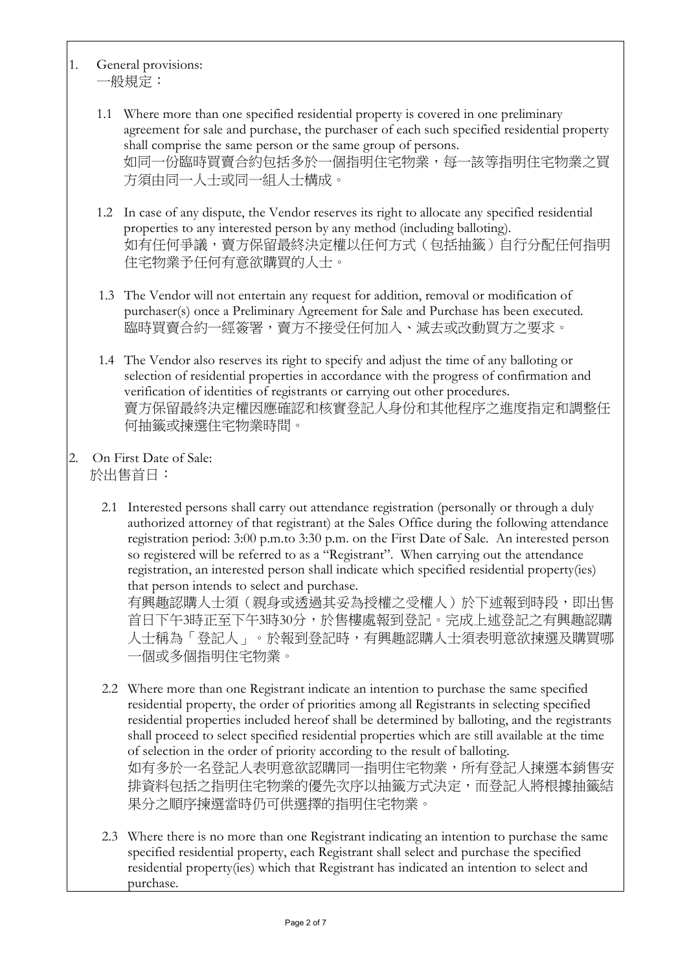- 1. General provisions: 一般規定:
	- 1.1 Where more than one specified residential property is covered in one preliminary agreement for sale and purchase, the purchaser of each such specified residential property shall comprise the same person or the same group of persons. 如同一份臨時買賣合約包括多於一個指明住宅物業,每一該等指明住宅物業之買 方須由同一人士或同一組人士構成。
	- 1.2 In case of any dispute, the Vendor reserves its right to allocate any specified residential properties to any interested person by any method (including balloting). 如有任何爭議,賣方保留最終決定權以任何方式(包括抽籤)自行分配任何指明 住宅物業予任何有意欲購買的人士。
	- 1.3 The Vendor will not entertain any request for addition, removal or modification of purchaser(s) once a Preliminary Agreement for Sale and Purchase has been executed. 臨時買賣合約一經簽署,賣方不接受任何加入、減去或改動買方之要求。
	- 1.4 The Vendor also reserves its right to specify and adjust the time of any balloting or selection of residential properties in accordance with the progress of confirmation and verification of identities of registrants or carrying out other procedures. 賣方保留最終決定權因應確認和核實登記人身份和其他程序之進度指定和調整任 何抽籤或揀選住宅物業時間。
- 2. On First Date of Sale: 於出售首日:
	- 2.1 Interested persons shall carry out attendance registration (personally or through a duly authorized attorney of that registrant) at the Sales Office during the following attendance registration period: 3:00 p.m.to 3:30 p.m. on the First Date of Sale. An interested person so registered will be referred to as a "Registrant". When carrying out the attendance registration, an interested person shall indicate which specified residential property(ies) that person intends to select and purchase.

有興趣認購人士須(親身或透過其妥為授權之受權人)於下述報到時段,即出售 首日下午3時正至下午3時30分,於售樓處報到登記。完成上述登記之有興趣認購 人士稱為「登記人」。於報到登記時,有興趣認購人士須表明意欲揀選及購買哪 一個或多個指明住宅物業。

- 2.2 Where more than one Registrant indicate an intention to purchase the same specified residential property, the order of priorities among all Registrants in selecting specified residential properties included hereof shall be determined by balloting, and the registrants shall proceed to select specified residential properties which are still available at the time of selection in the order of priority according to the result of balloting. 如有多於一名登記人表明意欲認購同一指明住宅物業,所有登記人揀選本銷售安 排資料包括之指明住宅物業的優先次序以抽籤方式決定,而登記人將根據抽籤結 果分之順序揀選當時仍可供選擇的指明住宅物業。
- 2.3 Where there is no more than one Registrant indicating an intention to purchase the same specified residential property, each Registrant shall select and purchase the specified residential property(ies) which that Registrant has indicated an intention to select and purchase.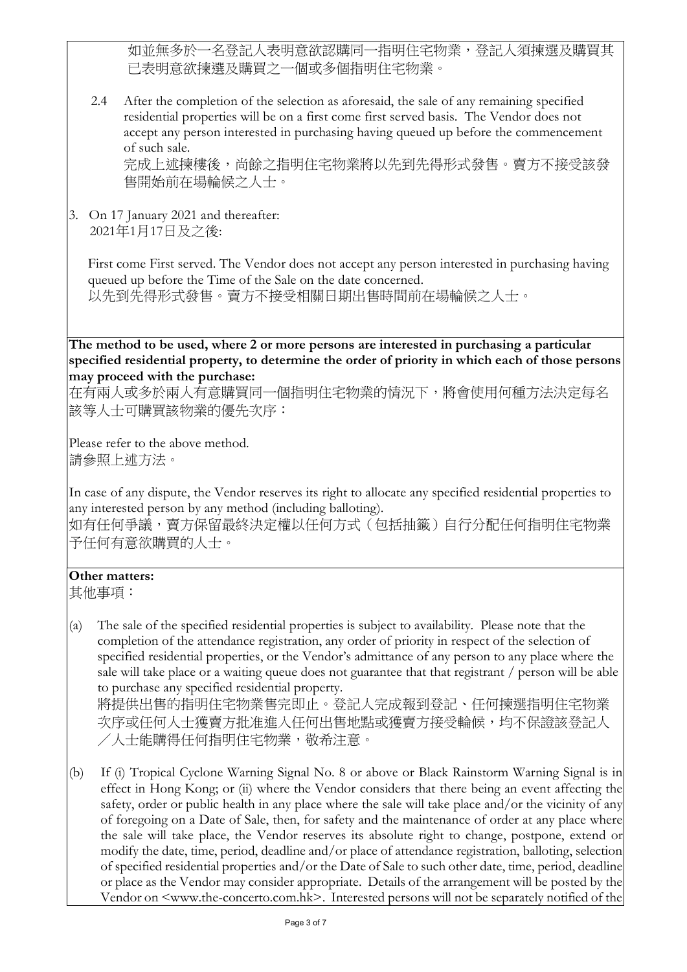如並無多於一名登記人表明意欲認購同一指明住宅物業,登記人須揀選及購買其 已表明意欲揀選及購買之一個或多個指明住宅物業。

2.4 After the completion of the selection as aforesaid, the sale of any remaining specified residential properties will be on a first come first served basis. The Vendor does not accept any person interested in purchasing having queued up before the commencement of such sale.

完成上述揀樓後,尚餘之指明住宅物業將以先到先得形式發售。賣方不接受該發 售開始前在場輪候之人士。

3. On 17 January 2021 and thereafter: 2021年1月17日及之後:

First come First served. The Vendor does not accept any person interested in purchasing having queued up before the Time of the Sale on the date concerned. 以先到先得形式發售。賣方不接受相關日期出售時間前在場輪候之人士。

The method to be used, where 2 or more persons are interested in purchasing a particular specified residential property, to determine the order of priority in which each of those persons may proceed with the purchase:

在有兩人或多於兩人有意購買同一個指明住宅物業的情況下,將會使用何種方法決定每名 該等人士可購買該物業的優先次序:

Please refer to the above method. 請參照上述方法。

In case of any dispute, the Vendor reserves its right to allocate any specified residential properties to any interested person by any method (including balloting).

如有任何爭議,賣方保留最終決定權以任何方式(包括抽籤)自行分配任何指明住宅物業 予任何有意欲購買的人士。

## Other matters:

其他事項:

(a) The sale of the specified residential properties is subject to availability. Please note that the completion of the attendance registration, any order of priority in respect of the selection of specified residential properties, or the Vendor's admittance of any person to any place where the sale will take place or a waiting queue does not guarantee that that registrant / person will be able to purchase any specified residential property. 將提供出售的指明住宅物業售完即止。登記人完成報到登記、任何揀選指明住宅物業

次序或任何人干獲賣方批准進入任何出售地點或獲賣方接受輪候,均不保證該登記人 /人士能購得任何指明住宅物業,敬希注意。

(b) If (i) Tropical Cyclone Warning Signal No. 8 or above or Black Rainstorm Warning Signal is in effect in Hong Kong; or (ii) where the Vendor considers that there being an event affecting the safety, order or public health in any place where the sale will take place and/or the vicinity of any of foregoing on a Date of Sale, then, for safety and the maintenance of order at any place where the sale will take place, the Vendor reserves its absolute right to change, postpone, extend or modify the date, time, period, deadline and/or place of attendance registration, balloting, selection of specified residential properties and/or the Date of Sale to such other date, time, period, deadline or place as the Vendor may consider appropriate. Details of the arrangement will be posted by the Vendor on <www.the-concerto.com.hk>. Interested persons will not be separately notified of the